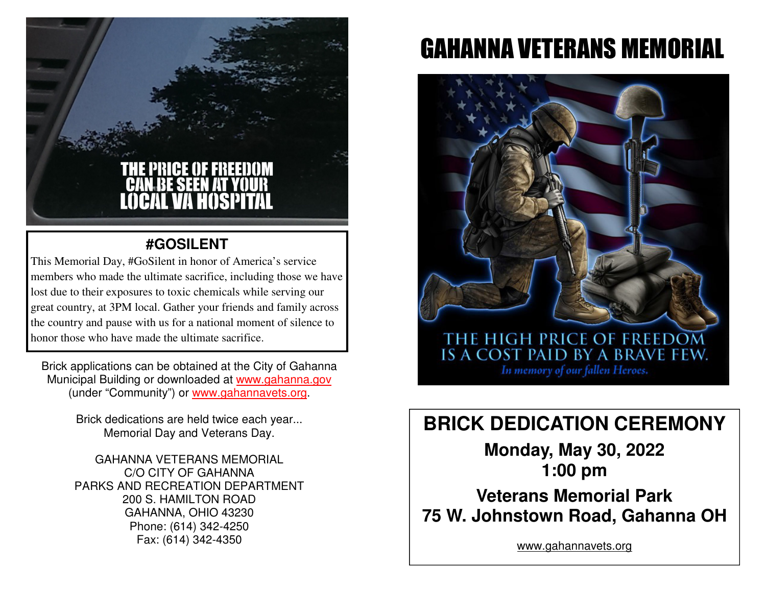

## **#GOSILENT**

This Memorial Day, #GoSilent in honor of America's service members who made the ultimate sacrifice, including those we have lost due to their exposures to toxic chemicals while serving our great country, at 3PM local. Gather your friends and family across the country and pause with us for a national moment of silence to honor those who have made the ultimate sacrifice.

Brick applications can be obtained at the City of Gahanna Municipal Building or downloaded at www.gahanna.gov (under "Community") or www.gahannavets.org.

> Brick dedications are held twice each year... Memorial Day and Veterans Day.

GAHANNA VETERANS MEMORIAL C/O CITY OF GAHANNA PARKS AND RECREATION DEPARTMENT 200 S. HAMILTON ROAD GAHANNA, OHIO 43230 Phone: (614) 342-4250 Fax: (614) 342-4350

# GAHANNA VETERANS MEMORIAL



**BRICK DEDICATION CEREMONY** 

**Monday, May 30, 2022 1:00 pm** 

**Veterans Memorial Park 75 W. Johnstown Road, Gahanna OH** 

www.gahannavets.org